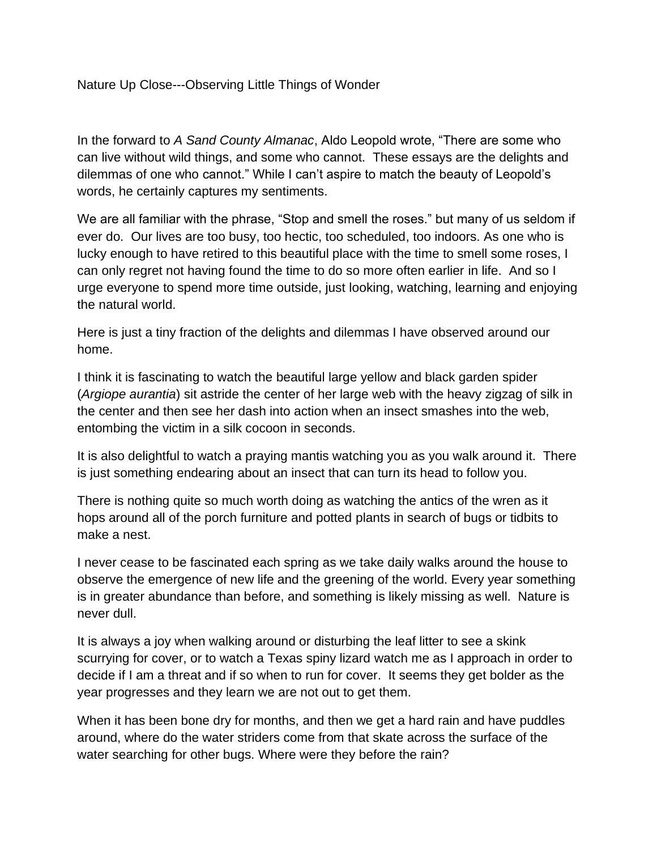In the forward to *A Sand County Almanac*, Aldo Leopold wrote, "There are some who can live without wild things, and some who cannot. These essays are the delights and dilemmas of one who cannot." While I can't aspire to match the beauty of Leopold's words, he certainly captures my sentiments.

We are all familiar with the phrase, "Stop and smell the roses." but many of us seldom if ever do. Our lives are too busy, too hectic, too scheduled, too indoors. As one who is lucky enough to have retired to this beautiful place with the time to smell some roses, I can only regret not having found the time to do so more often earlier in life. And so I urge everyone to spend more time outside, just looking, watching, learning and enjoying the natural world.

Here is just a tiny fraction of the delights and dilemmas I have observed around our home.

I think it is fascinating to watch the beautiful large yellow and black garden spider (*Argiope aurantia*) sit astride the center of her large web with the heavy zigzag of silk in the center and then see her dash into action when an insect smashes into the web, entombing the victim in a silk cocoon in seconds.

It is also delightful to watch a praying mantis watching you as you walk around it. There is just something endearing about an insect that can turn its head to follow you.

There is nothing quite so much worth doing as watching the antics of the wren as it hops around all of the porch furniture and potted plants in search of bugs or tidbits to make a nest.

I never cease to be fascinated each spring as we take daily walks around the house to observe the emergence of new life and the greening of the world. Every year something is in greater abundance than before, and something is likely missing as well. Nature is never dull.

It is always a joy when walking around or disturbing the leaf litter to see a skink scurrying for cover, or to watch a Texas spiny lizard watch me as I approach in order to decide if I am a threat and if so when to run for cover. It seems they get bolder as the year progresses and they learn we are not out to get them.

When it has been bone dry for months, and then we get a hard rain and have puddles around, where do the water striders come from that skate across the surface of the water searching for other bugs. Where were they before the rain?